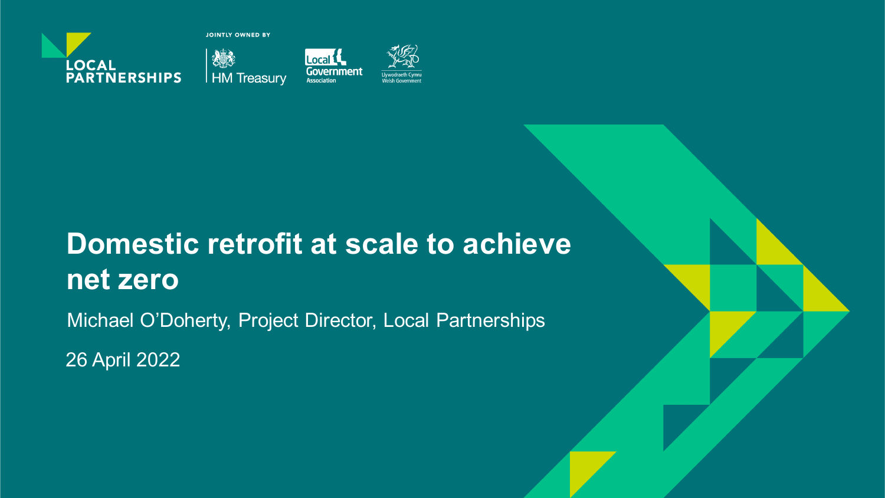

**JOINTLY OWNED BY** 







# **Domestic retrofit at scale to achieve net zero**

Michael O'Doherty, Project Director, Local Partnerships

26 April 2022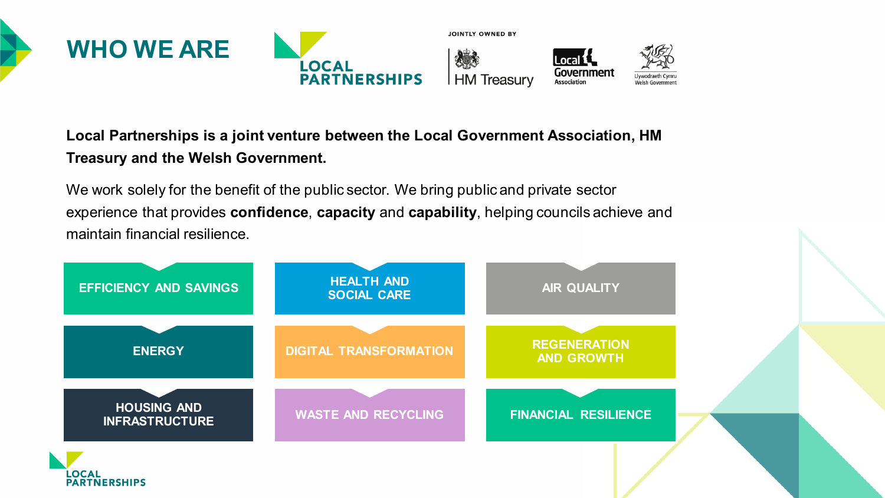

#### **Local Partnerships is a joint venture between the Local Government Association, HM Treasury and the Welsh Government.**

We work solely for the benefit of the public sector. We bring public and private sector experience that provides **confidence**, **capacity** and **capability**, helping councils achieve and maintain financial resilience.

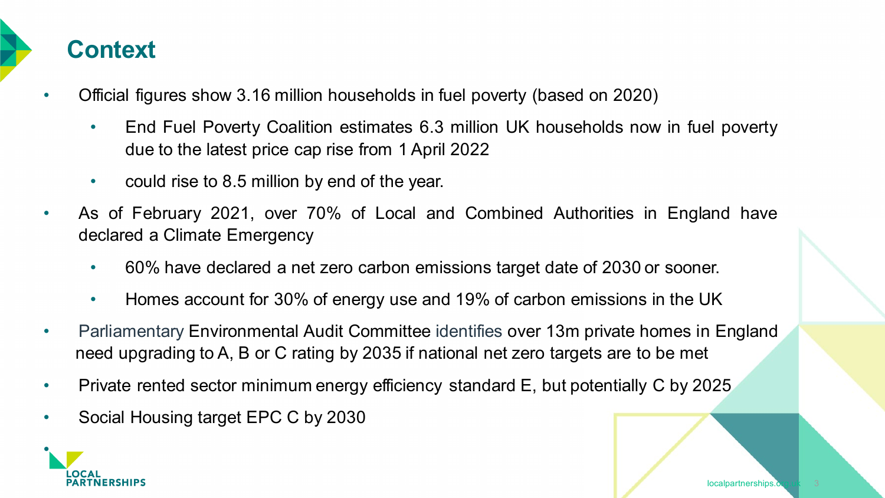

- Official figures show 3.16 million households in fuel poverty (based on 2020)
	- End Fuel Poverty Coalition estimates 6.3 million UK households now in fuel poverty due to the latest price cap rise from 1 April 2022
	- could rise to 8.5 million by end of the year.
- As of February 2021, over 70% of Local and Combined Authorities in England have declared a Climate Emergency
	- 60% have declared a net zero carbon emissions target date of 2030 or sooner.
	- Homes account for 30% of energy use and 19% of carbon emissions in the UK
- Parliamentary Environmental Audit Committee identifies over 13m private homes in England need upgrading to A, B or C rating by 2035 if national net zero targets are to be met
- Private rented sector minimum energy efficiency standard E, but potentially C by 2025
- Social Housing target EPC C by 2030

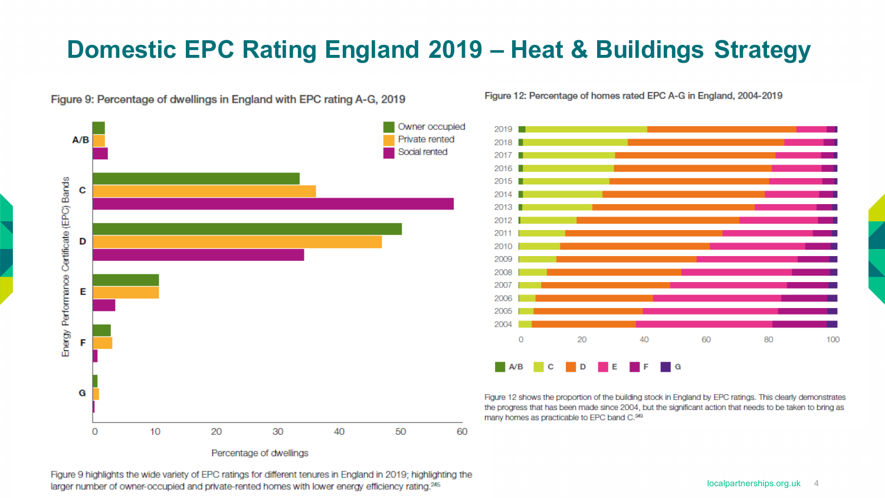## **Domestic EPC Rating England 2019 – Heat & Buildings Strategy**

Figure 9: Percentage of dwellings in England with EPC rating A-G, 2019



Figure 12: Percentage of homes rated EPC A-G in England, 2004-2019



Figure 12 shows the proportion of the building stock in England by EPC ratings. This clearly demonstrates the progress that has been made since 2004, but the significant action that needs to be taken to bring as many homes as practicable to EPC band C.<sup>349</sup>

Figure 9 highlights the wide variety of EPC ratings for different tenures in England in 2019; highlighting the larger number of owner-occupied and private-rented homes with lower energy efficiency rating.<sup>245</sup>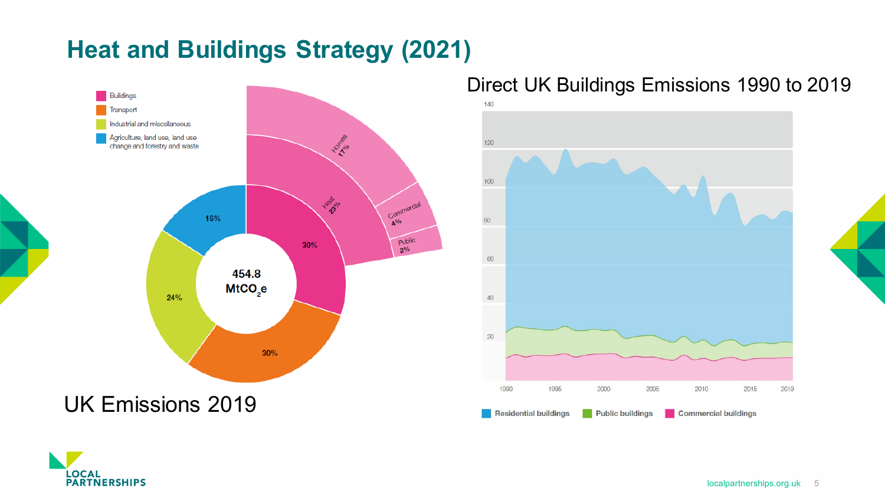# **Heat and Buildings Strategy (2021)**



#### Direct UK Buildings Emissions 1990 to 2019



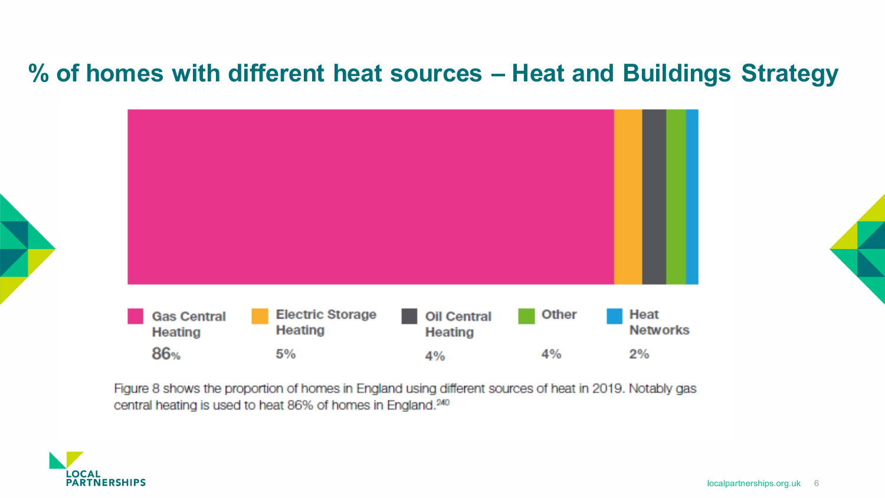### **% of homes with different heat sources – Heat and Buildings Strategy**

| <b>Gas Central</b><br>Heating | <b>Electric Storage</b><br><b>Heating</b> | <b>Oil Central</b><br>Heating | Other | Heat<br><b>Networks</b> |
|-------------------------------|-------------------------------------------|-------------------------------|-------|-------------------------|
| 86%                           | 5%                                        | 4%                            | 4%    | 2%                      |

Figure 8 shows the proportion of homes in England using different sources of heat in 2019. Notably gas central heating is used to heat 86% of homes in England.<sup>240</sup>

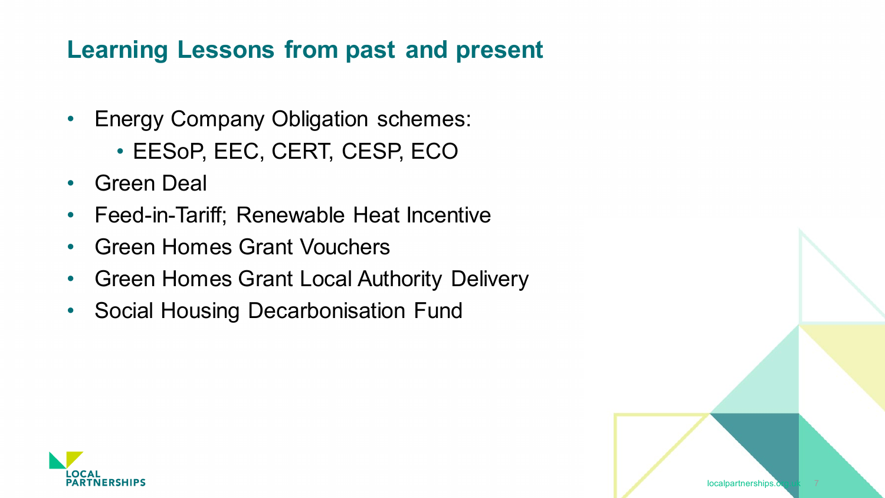### **Learning Lessons from past and present**

- Energy Company Obligation schemes:
	- EESoP, EEC, CERT, CESP, ECO
- Green Deal
- Feed-in-Tariff; Renewable Heat Incentive
- Green Homes Grant Vouchers
- Green Homes Grant Local Authority Delivery
- Social Housing Decarbonisation Fund

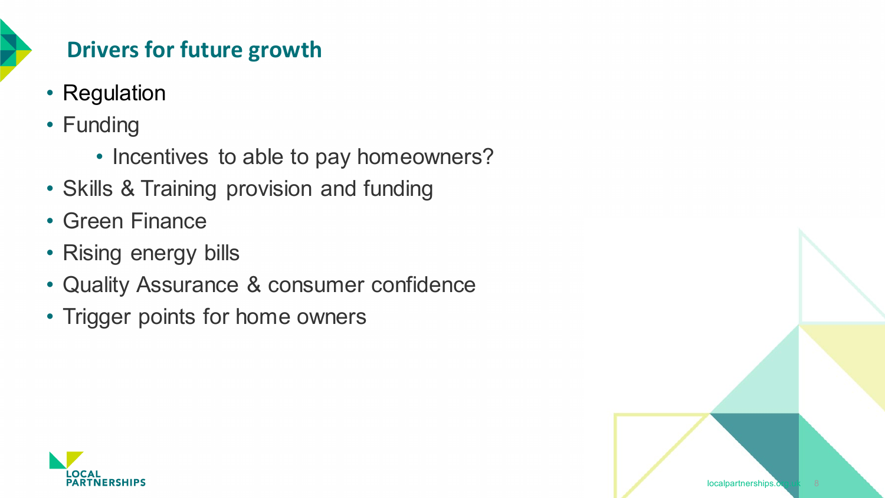

### **Drivers for future growth**

- Regulation
- Funding
	- Incentives to able to pay homeowners?

localpartnerships.

- Skills & Training provision and funding
- Green Finance
- Rising energy bills
- Quality Assurance & consumer confidence
- Trigger points for home owners

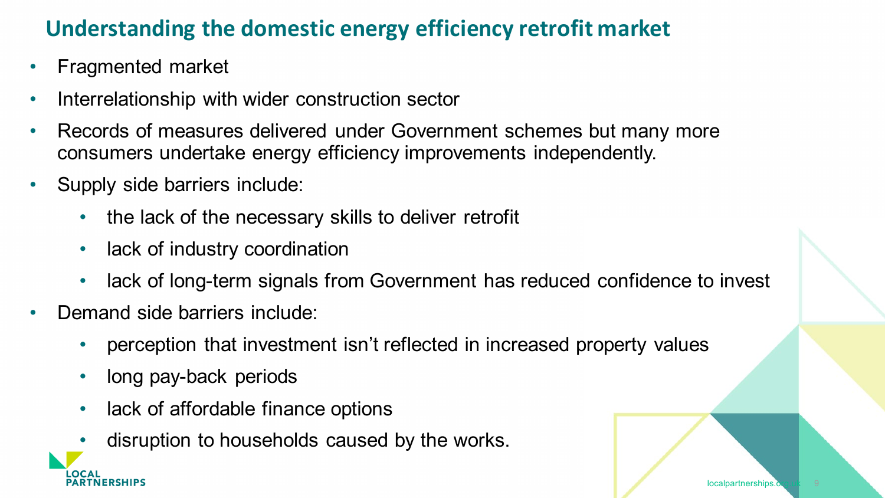### **Understanding the domestic energy efficiency retrofit market**

- Fragmented market
- Interrelationship with wider construction sector
- Records of measures delivered under Government schemes but many more consumers undertake energy efficiency improvements independently.
- Supply side barriers include:
	- the lack of the necessary skills to deliver retrofit
	- lack of industry coordination
	- lack of long-term signals from Government has reduced confidence to invest
- Demand side barriers include:

**NERSHIPS** 

- perception that investment isn't reflected in increased property values
- long pay-back periods
- lack of affordable finance options
- disruption to households caused by the works.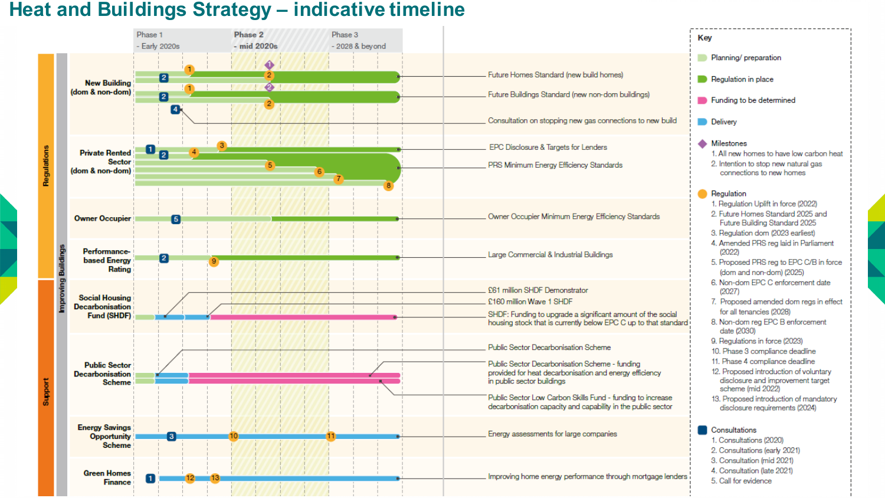#### **Heat and Buildings Strategy – indicative timeline**

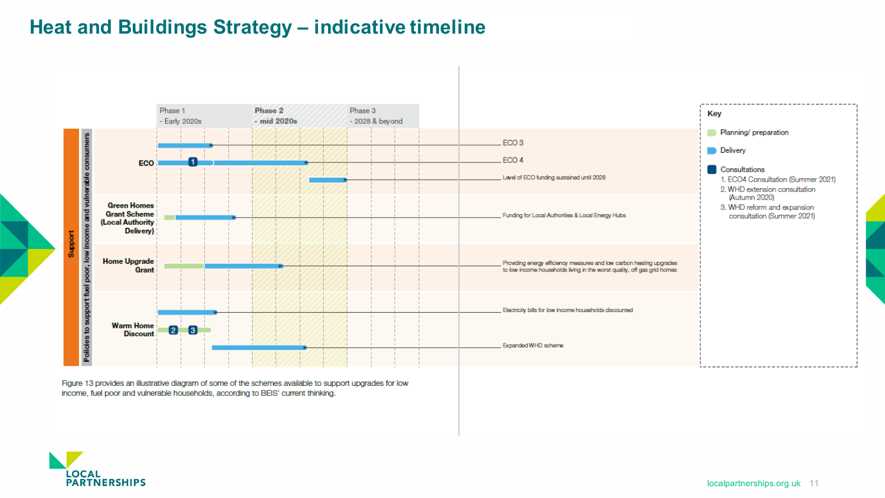#### **Heat and Buildings Strategy – indicative timeline**



Figure 13 provides an illustrative diagram of some of the schemes available to support upgrades for low income, fuel poor and vulnerable households, according to BEIS' current thinking.